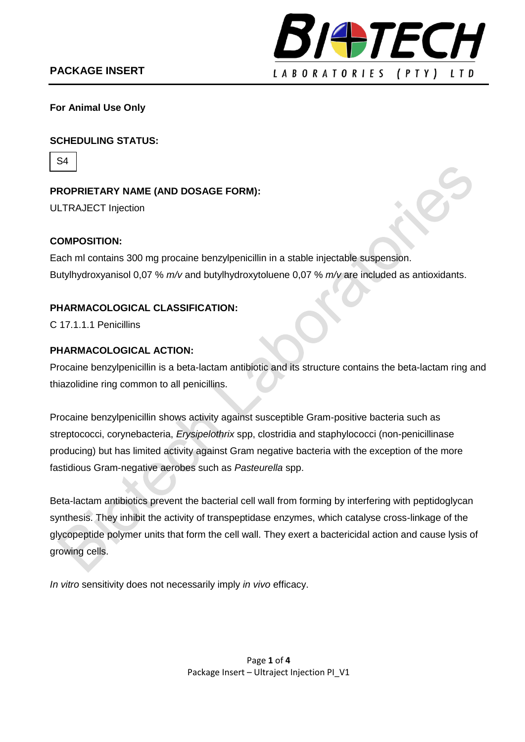

**For Animal Use Only**

### **SCHEDULING STATUS:**

S4

**PROPRIETARY NAME (AND DOSAGE FORM):** ULTRAJECT Injection

#### **COMPOSITION:**

Each ml contains 300 mg procaine benzylpenicillin in a stable injectable suspension. Butylhydroxyanisol 0,07 % *m/v* and butylhydroxytoluene 0,07 % *m/v* are included as antioxidants.

## **PHARMACOLOGICAL CLASSIFICATION:**

C 17.1.1.1 Penicillins

### **PHARMACOLOGICAL ACTION:**

Procaine benzylpenicillin is a beta-lactam antibiotic and its structure contains the beta-lactam ring and thiazolidine ring common to all penicillins.

Procaine benzylpenicillin shows activity against susceptible Gram-positive bacteria such as streptococci, corynebacteria, *Erysipelothrix* spp, clostridia and staphylococci (non-penicillinase producing) but has limited activity against Gram negative bacteria with the exception of the more fastidious Gram-negative aerobes such as *Pasteurella* spp.

Beta-lactam antibiotics prevent the bacterial cell wall from forming by interfering with peptidoglycan synthesis. They inhibit the activity of transpeptidase enzymes, which catalyse cross-linkage of the glycopeptide polymer units that form the cell wall. They exert a bactericidal action and cause lysis of growing cells.

*In vitro* sensitivity does not necessarily imply *in vivo* efficacy.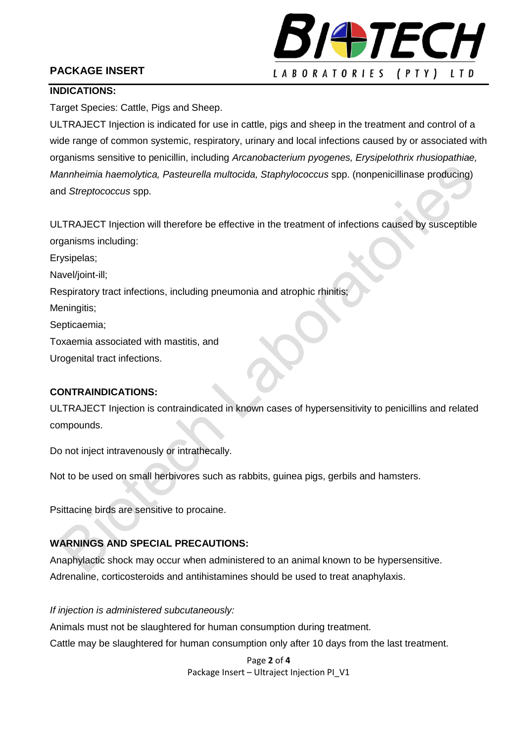# **PACKAGE INSERT**



### **INDICATIONS:**

Target Species: Cattle, Pigs and Sheep.

ULTRAJECT Injection is indicated for use in cattle, pigs and sheep in the treatment and control of a wide range of common systemic, respiratory, urinary and local infections caused by or associated with organisms sensitive to penicillin, including *Arcanobacterium pyogenes, Erysipelothrix rhusiopathiae, Mannheimia haemolytica, Pasteurella multocida, Staphylococcus* spp. (nonpenicillinase producing) and *Streptococcus* spp.

ULTRAJECT Injection will therefore be effective in the treatment of infections caused by susceptible organisms including:

Erysipelas;

Navel/joint-ill;

Respiratory tract infections, including pneumonia and atrophic rhinitis;

Meningitis;

Septicaemia;

Toxaemia associated with mastitis, and

Urogenital tract infections.

## **CONTRAINDICATIONS:**

ULTRAJECT Injection is contraindicated in known cases of hypersensitivity to penicillins and related compounds.

Do not inject intravenously or intrathecally.

Not to be used on small herbivores such as rabbits, guinea pigs, gerbils and hamsters.

Psittacine birds are sensitive to procaine.

## **WARNINGS AND SPECIAL PRECAUTIONS:**

Anaphylactic shock may occur when administered to an animal known to be hypersensitive. Adrenaline, corticosteroids and antihistamines should be used to treat anaphylaxis.

*If injection is administered subcutaneously:* Animals must not be slaughtered for human consumption during treatment. Cattle may be slaughtered for human consumption only after 10 days from the last treatment.

> Page **2** of **4** Package Insert – Ultraject Injection PI\_V1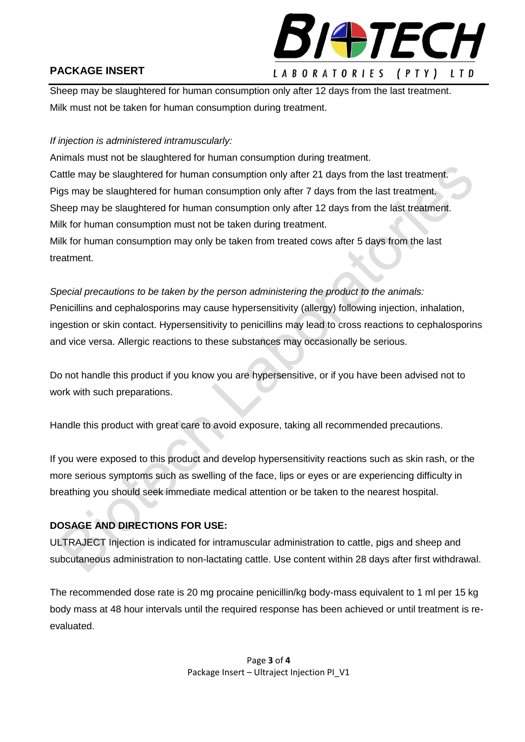

# **PACKAGE INSERT**

Sheep may be slaughtered for human consumption only after 12 days from the last treatment. Milk must not be taken for human consumption during treatment.

## *If injection is administered intramuscularly:*

Animals must not be slaughtered for human consumption during treatment. Cattle may be slaughtered for human consumption only after 21 days from the last treatment. Pigs may be slaughtered for human consumption only after 7 days from the last treatment. Sheep may be slaughtered for human consumption only after 12 days from the last treatment. Milk for human consumption must not be taken during treatment.

Milk for human consumption may only be taken from treated cows after 5 days from the last treatment.

*Special precautions to be taken by the person administering the product to the animals:* Penicillins and cephalosporins may cause hypersensitivity (allergy) following injection, inhalation, ingestion or skin contact. Hypersensitivity to penicillins may lead to cross reactions to cephalosporins and vice versa. Allergic reactions to these substances may occasionally be serious.

Do not handle this product if you know you are hypersensitive, or if you have been advised not to work with such preparations.

Handle this product with great care to avoid exposure, taking all recommended precautions.

If you were exposed to this product and develop hypersensitivity reactions such as skin rash, or the more serious symptoms such as swelling of the face, lips or eyes or are experiencing difficulty in breathing you should seek immediate medical attention or be taken to the nearest hospital.

# **DOSAGE AND DIRECTIONS FOR USE:**

ULTRAJECT Injection is indicated for intramuscular administration to cattle, pigs and sheep and subcutaneous administration to non-lactating cattle. Use content within 28 days after first withdrawal.

The recommended dose rate is 20 mg procaine penicillin/kg body-mass equivalent to 1 ml per 15 kg body mass at 48 hour intervals until the required response has been achieved or until treatment is reevaluated.